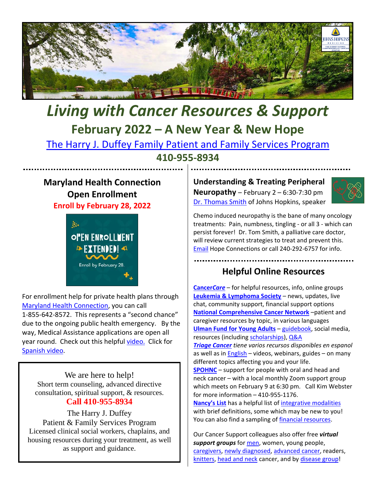

# *Living with Cancer Resources & Support* **February 2022 – A New Year & New Hope**

[The Harry J. Duffey Family Patient and Family Services Program](https://www.hopkinsmedicine.org/kimmel_cancer_center/patient_and_family_services/)

**410-955-8934**

#### **Maryland Health Connection Open Enrollment Enroll by February 28, 2022**



For enrollment help for private health plans through [Maryland Health Connection,](https://www.marylandhealthconnection.gov/?utm_content&utm_medium=email&utm_name&utm_source=govdelivery&utm_term) you can call 1-855-642-8572. This represents a "second chance" due to the ongoing public health emergency. By the way, Medical Assistance applications are open all year round. Check out this helpful [video.](https://www.marylandhealthconnection.gov/health-coverage/choose-a-plan/) Click for [Spanish video.](https://www.youtube.com/watch?v=cHHm8F21Q-Q)

We are here to help! Short term counseling, advanced directive consultation, spiritual support, & resources. **Call 410-955-8934**

The Harry J. Duffey Patient & Family Services Program Licensed clinical social workers, chaplains, and housing resources during your treatment, as well as support and guidance.

**Understanding & Treating Peripheral Neuropathy** – February 2 – 6:30-7:30 pm [Dr. Thomas Smith](https://www.hopkinsmedicine.org/profiles/details/thomas-smith) of Johns Hopkins, speaker



Chemo induced neuropathy is the bane of many oncology treatments: Pain, numbness, tingling - or all 3 - which can persist forever! Dr. Tom Smith, a palliative care doctor, will review current strategies to treat and prevent this. [Email](mailto:info@hopeconnectionsforcancer.org) Hope Connections or call 240-292-6757 for info.

### **Helpful Online Resources**

**[Cancer](https://www.cancercare.org/)***Care* – for helpful resources, info, online groups **[Leukemia & Lymphoma Society](https://www.lls.org/)** – news, updates, live chat, community support, financial support options **[National Comprehensive Cancer Network](https://www.nccn.org/patients/guidelines/cancers.aspx)** –patient and caregiver resources by topic, in various languages **[Ulman Fund for Young Adults](https://ulmanfoundation.org/)** – [guidebook,](https://mailchi.mp/ulmanfoundation/noway) social media, resources (including [scholarships\)](https://ulmanfoundation.org/scholarships/)[, Q&A](mailto:remotenavigation@ulmanfoundation.org)

*[Triage Cancer](https://triagecancer.org/espanol) tiene varios recursos disponibles en espanol* as well as in  $English – videos, webinars, guides – on many$ </u> different topics affecting you and your life.

**[SPOHNC](https://www.spohnc.org/)** – support for people with oral and head and neck cancer – with a local monthly Zoom support group which meets on February 9 at 6:30 pm. Call Kim Webster for more information – 410-955-1176.

**[Nancy's List](https://nancyslist.org/)** has a helpful list o[f integrative modalities](https://nancyslist.org/2019/02/07/introduction-to-integrative-therapies/)  with brief definitions, some which may be new to you! You can also find a sampling of [financial resources.](https://nancyslist.org/financial-assistance/)

Our Cancer Support colleagues also offer free *virtual support groups* for [men,](https://www.annapoliswellnesshouse.org/programs-services/adult-programs/support-groups/) women, young people, [caregivers, newly diagnosed, advanced cancer,](https://hopeconnectionsforcancer.org/programs/support-groups/) readers[,](https://smithcenter.org/programs-retreats-calendar/2022-02/) [knitters, head and neck](https://smithcenter.org/programs-retreats-calendar/2022-02/) cancer, and by [disease group!](https://www.hopewellcancersupport.org/programs)